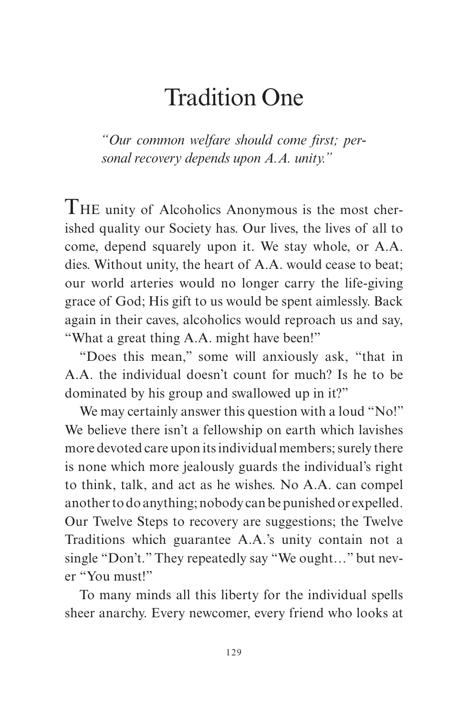## Tradition One

"Our common welfare should come first; per*sonal recovery depends upon A.A. unity."*

THE unity of Alcoholics Anonymous is the most cherished quality our Society has. Our lives, the lives of all to come, depend squarely upon it. We stay whole, or A.A. dies. Without unity, the heart of A.A. would cease to beat; our world arteries would no longer carry the life-giving grace of God; His gift to us would be spent aimlessly. Back again in their caves, alcoholics would reproach us and say, "What a great thing A.A. might have been!"

"Does this mean," some will anxiously ask, "that in A.A. the individual doesn't count for much? Is he to be dominated by his group and swallowed up in it?"

We may certainly answer this question with a loud "No!" We believe there isn't a fellowship on earth which lavishes more devoted care upon its individual members; surely there is none which more jealously guards the individual's right to think, talk, and act as he wishes. No A.A. can compel another to do anything; nobody can be punished or expelled. Our Twelve Steps to recovery are suggestions; the Twelve Traditions which guarantee A.A.'s unity contain not a single "Don't." They repeatedly say "We ought…" but never "You must!"

To many minds all this liberty for the individual spells sheer anarchy. Every newcomer, every friend who looks at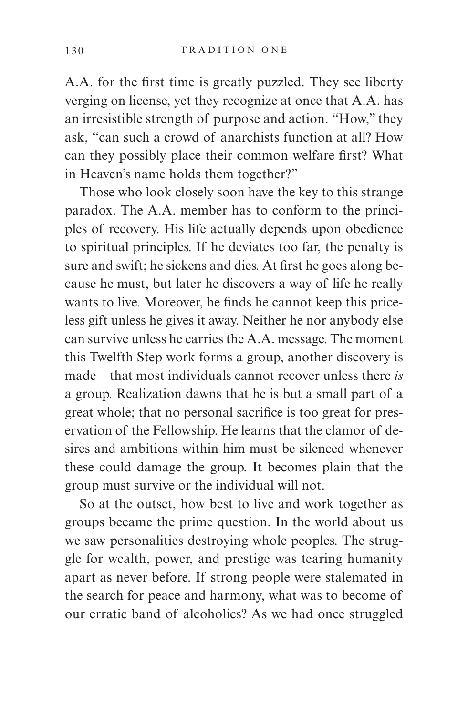A.A. for the first time is greatly puzzled. They see liberty verging on license, yet they recognize at once that A.A. has an irresistible strength of purpose and action. "How," they ask, "can such a crowd of anarchists function at all? How can they possibly place their common welfare first? What in Heaven's name holds them together?"

Those who look closely soon have the key to this strange paradox. The A.A. member has to conform to the principles of recovery. His life actually depends upon obedience to spiritual principles. If he deviates too far, the penalty is sure and swift; he sickens and dies. At first he goes along because he must, but later he discovers a way of life he really wants to live. Moreover, he finds he cannot keep this priceless gift unless he gives it away. Neither he nor anybody else can survive unless he carries the A.A. message. The moment this Twelfth Step work forms a group, another discovery is made—that most individuals cannot recover unless there *is* a group. Realization dawns that he is but a small part of a great whole; that no personal sacrifice is too great for preservation of the Fellowship. He learns that the clamor of desires and ambitions within him must be silenced whenever these could damage the group. It becomes plain that the group must survive or the individual will not.

So at the outset, how best to live and work together as groups became the prime question. In the world about us we saw personalities destroying whole peoples. The struggle for wealth, power, and prestige was tearing humanity apart as never before. If strong people were stalemated in the search for peace and harmony, what was to become of our erratic band of alcoholics? As we had once struggled